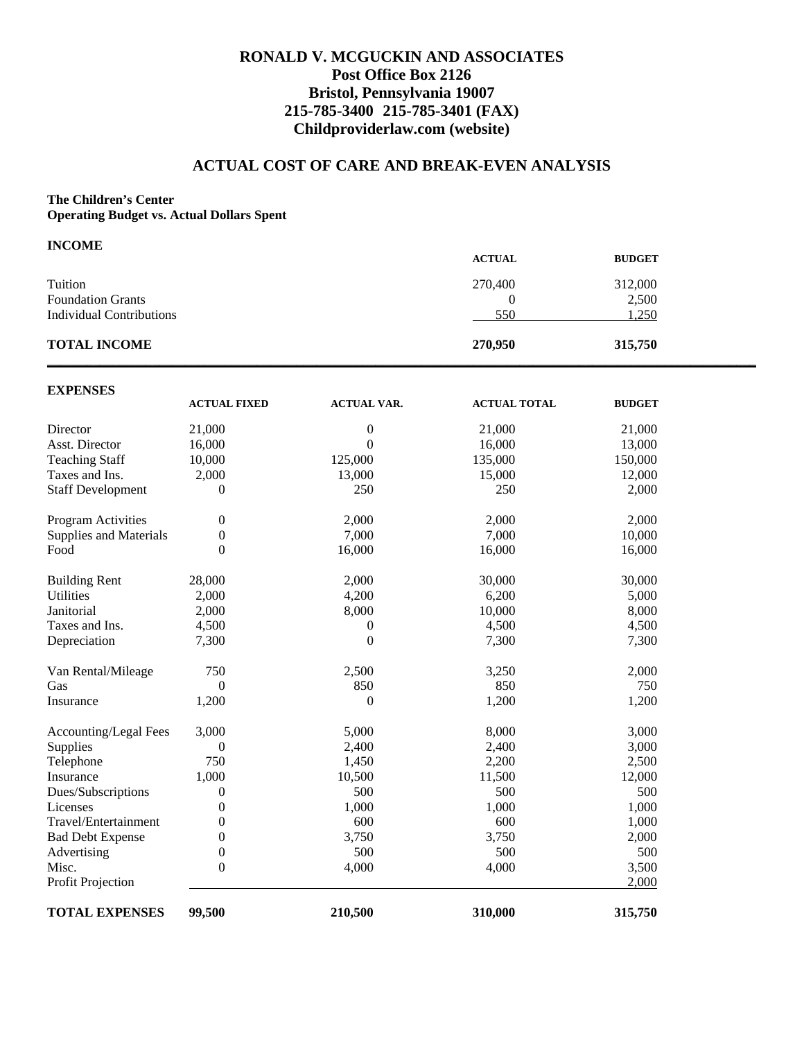## **RONALD V. MCGUCKIN AND ASSOCIATES Post Office Box 2126 Bristol, Pennsylvania 19007 215-785-3400 215-785-3401 (FAX) Childproviderlaw.com (website)**

#### **ACTUAL COST OF CARE AND BREAK-EVEN ANALYSIS**

#### **The Children's Center**

**Operating Budget vs. Actual Dollars Spent** 

| <b>INCOME</b>            |               |               |  |
|--------------------------|---------------|---------------|--|
|                          | <b>ACTUAL</b> | <b>BUDGET</b> |  |
| Tuition                  | 270,400       | 312,000       |  |
| <b>Foundation Grants</b> | 0             | 2,500         |  |
| Individual Contributions | 550           | 1,250         |  |
| <b>TOTAL INCOME</b>      | 270,950       | 315,750       |  |

| <b>EXPENSES</b>               |                     |                    |                     |               |
|-------------------------------|---------------------|--------------------|---------------------|---------------|
|                               | <b>ACTUAL FIXED</b> | <b>ACTUAL VAR.</b> | <b>ACTUAL TOTAL</b> | <b>BUDGET</b> |
| Director                      | 21,000              | 0                  | 21,000              | 21,000        |
| Asst. Director                | 16,000              | $\overline{0}$     | 16,000              | 13,000        |
| <b>Teaching Staff</b>         | 10,000              | 125,000            | 135,000             | 150,000       |
| Taxes and Ins.                | 2,000               | 13,000             | 15,000              | 12,000        |
| <b>Staff Development</b>      | $\overline{0}$      | 250                | 250                 | 2,000         |
| Program Activities            | 0                   | 2,000              | 2,000               | 2,000         |
| <b>Supplies and Materials</b> | 0                   | 7,000              | 7,000               | 10,000        |
| Food                          | $\theta$            | 16,000             | 16,000              | 16,000        |
| <b>Building Rent</b>          | 28,000              | 2,000              | 30,000              | 30,000        |
| <b>Utilities</b>              | 2,000               | 4,200              | 6,200               | 5,000         |
| Janitorial                    | 2,000               | 8,000              | 10,000              | 8,000         |
| Taxes and Ins.                | 4,500               | $\boldsymbol{0}$   | 4,500               | 4,500         |
| Depreciation                  | 7,300               | $\boldsymbol{0}$   | 7,300               | 7,300         |
| Van Rental/Mileage            | 750                 | 2,500              | 3,250               | 2,000         |
| Gas                           | $\overline{0}$      | 850                | 850                 | 750           |
| Insurance                     | 1,200               | $\boldsymbol{0}$   | 1,200               | 1,200         |
| Accounting/Legal Fees         | 3,000               | 5,000              | 8,000               | 3,000         |
| Supplies                      | 0                   | 2,400              | 2,400               | 3,000         |
| Telephone                     | 750                 | 1,450              | 2,200               | 2,500         |
| Insurance                     | 1,000               | 10,500             | 11,500              | 12,000        |
| Dues/Subscriptions            | 0                   | 500                | 500                 | 500           |
| Licenses                      | 0                   | 1,000              | 1,000               | 1,000         |
| Travel/Entertainment          | 0                   | 600                | 600                 | 1,000         |
| <b>Bad Debt Expense</b>       | 0                   | 3,750              | 3,750               | 2,000         |
| Advertising                   | 0                   | 500                | 500                 | 500           |
| Misc.                         | $\overline{0}$      | 4,000              | 4,000               | 3,500         |
| Profit Projection             |                     |                    |                     | 2,000         |
| <b>TOTAL EXPENSES</b>         | 99,500              | 210,500            | 310,000             | 315,750       |